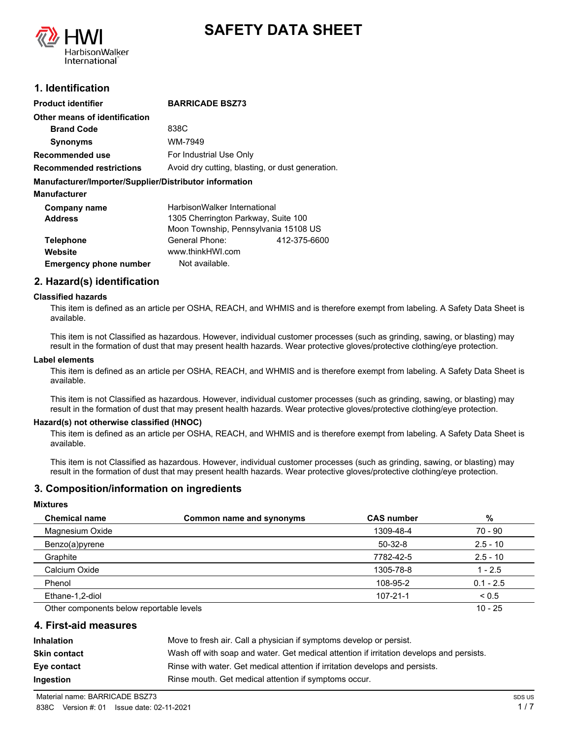



## **1. Identification**

| Product identifier                                     | <b>BARRICADE BSZ73</b>                           |  |
|--------------------------------------------------------|--------------------------------------------------|--|
| Other means of identification                          |                                                  |  |
| <b>Brand Code</b>                                      | 838C                                             |  |
| <b>Synonyms</b>                                        | WM-7949                                          |  |
| Recommended use                                        | For Industrial Use Only                          |  |
| Recommended restrictions                               | Avoid dry cutting, blasting, or dust generation. |  |
| Manufacturer/Importer/Supplier/Distributor information |                                                  |  |
| Manufacturer                                           |                                                  |  |
| Company name                                           | HarbisonWalker International                     |  |
| <b>Address</b>                                         | 1305 Cherrington Parkway, Suite 100              |  |
|                                                        | Moon Township, Pennsylvania 15108 US             |  |
| <b>Telephone</b>                                       | General Phone:<br>412-375-6600                   |  |
| Website                                                | www.thinkHWI.com                                 |  |
| <b>Emergency phone number</b>                          | Not available.                                   |  |
|                                                        |                                                  |  |

### **2. Hazard(s) identification**

#### **Classified hazards**

This item is defined as an article per OSHA, REACH, and WHMIS and is therefore exempt from labeling. A Safety Data Sheet is available.

This item is not Classified as hazardous. However, individual customer processes (such as grinding, sawing, or blasting) may result in the formation of dust that may present health hazards. Wear protective gloves/protective clothing/eye protection.

#### **Label elements**

This item is defined as an article per OSHA, REACH, and WHMIS and is therefore exempt from labeling. A Safety Data Sheet is available.

This item is not Classified as hazardous. However, individual customer processes (such as grinding, sawing, or blasting) may result in the formation of dust that may present health hazards. Wear protective gloves/protective clothing/eye protection.

#### **Hazard(s) not otherwise classified (HNOC)**

This item is defined as an article per OSHA, REACH, and WHMIS and is therefore exempt from labeling. A Safety Data Sheet is available.

This item is not Classified as hazardous. However, individual customer processes (such as grinding, sawing, or blasting) may result in the formation of dust that may present health hazards. Wear protective gloves/protective clothing/eye protection.

#### **3. Composition/information on ingredients**

#### **Mixtures**

| <b>Chemical name</b>                     | Common name and synonyms | <b>CAS number</b> | %           |
|------------------------------------------|--------------------------|-------------------|-------------|
| Magnesium Oxide                          |                          | 1309-48-4         | 70 - 90     |
| Benzo(a)pyrene                           |                          | $50-32-8$         | $2.5 - 10$  |
| Graphite                                 |                          | 7782-42-5         | $2.5 - 10$  |
| Calcium Oxide                            |                          | 1305-78-8         | $1 - 2.5$   |
| Phenol                                   |                          | 108-95-2          | $0.1 - 2.5$ |
| Ethane-1,2-diol                          |                          | 107-21-1          | ${}_{0.5}$  |
| Other components below reportable levels |                          |                   | $10 - 25$   |

### **4. First-aid measures**

| <b>Inhalation</b>   | Move to fresh air. Call a physician if symptoms develop or persist.                      |
|---------------------|------------------------------------------------------------------------------------------|
| <b>Skin contact</b> | Wash off with soap and water. Get medical attention if irritation develops and persists. |
| Eye contact         | Rinse with water. Get medical attention if irritation develops and persists.             |
| Ingestion           | Rinse mouth. Get medical attention if symptoms occur.                                    |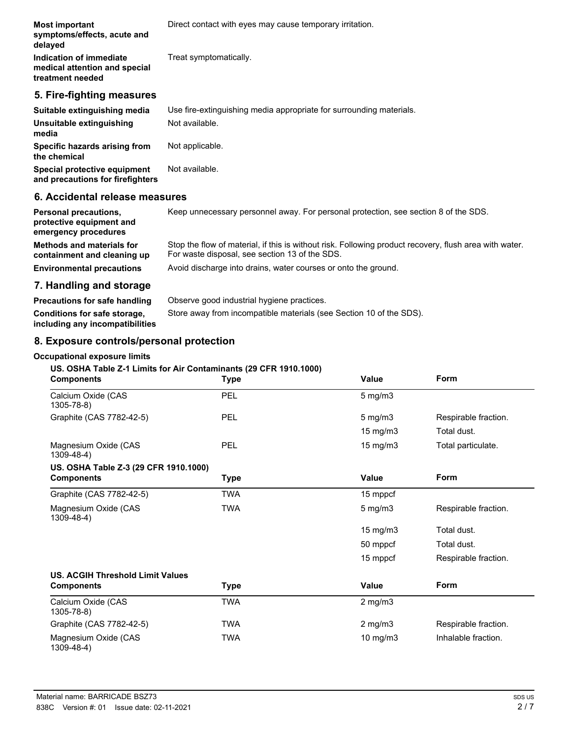| <b>Most important</b><br>symptoms/effects, acute and<br>delayed              | Direct contact with eyes may cause temporary irritation.            |
|------------------------------------------------------------------------------|---------------------------------------------------------------------|
| Indication of immediate<br>medical attention and special<br>treatment needed | Treat symptomatically.                                              |
| 5. Fire-fighting measures                                                    |                                                                     |
| Suitable extinguishing media                                                 | Use fire-extinguishing media appropriate for surrounding materials. |
| Unsuitable extinguishing<br>media                                            | Not available.                                                      |
| Specific hazards arising from<br>the chemical                                | Not applicable.                                                     |
| Special protective equipment<br>and precautions for firefighters             | Not available.                                                      |
| 6. Accidental release measures                                               |                                                                     |

| <b>Personal precautions,</b><br>protective equipment and<br>emergency procedures | Keep unnecessary personnel away. For personal protection, see section 8 of the SDS.                                                                      |
|----------------------------------------------------------------------------------|----------------------------------------------------------------------------------------------------------------------------------------------------------|
| <b>Methods and materials for</b><br>containment and cleaning up                  | Stop the flow of material, if this is without risk. Following product recovery, flush area with water.<br>For waste disposal, see section 13 of the SDS. |
| <b>Environmental precautions</b>                                                 | Avoid discharge into drains, water courses or onto the ground.                                                                                           |
| 7 Handling and storage                                                           |                                                                                                                                                          |

## **7. Handling and storage**

| Precautions for safe handling                                   | Observe good industrial hygiene practices.                          |
|-----------------------------------------------------------------|---------------------------------------------------------------------|
| Conditions for safe storage,<br>including any incompatibilities | Store away from incompatible materials (see Section 10 of the SDS). |

# **8. Exposure controls/personal protection**

## **Occupational exposure limits**

## **US. OSHA Table Z-1 Limits for Air Contaminants (29 CFR 1910.1000)**

| <b>Components</b>                         | <b>Type</b> | Value             | Form                 |
|-------------------------------------------|-------------|-------------------|----------------------|
| Calcium Oxide (CAS<br>1305-78-8)          | PEL         | $5$ mg/m $3$      |                      |
| Graphite (CAS 7782-42-5)                  | <b>PEL</b>  | $5$ mg/m $3$      | Respirable fraction. |
|                                           |             | 15 mg/m3          | Total dust.          |
| Magnesium Oxide (CAS<br>$1309 - 48 - 4$ ) | PEL         | $15 \text{ mg/m}$ | Total particulate.   |
| US. OSHA Table Z-3 (29 CFR 1910.1000)     |             |                   |                      |
| <b>Components</b>                         | <b>Type</b> | <b>Value</b>      | <b>Form</b>          |
| Graphite (CAS 7782-42-5)                  | <b>TWA</b>  | 15 mppcf          |                      |
| Magnesium Oxide (CAS<br>$1309 - 48 - 4$ ) | <b>TWA</b>  | $5$ mg/m $3$      | Respirable fraction. |
|                                           |             | $15 \text{ mg/m}$ | Total dust.          |
|                                           |             | 50 mppcf          | Total dust.          |
|                                           |             | 15 mppcf          | Respirable fraction. |
| <b>US. ACGIH Threshold Limit Values</b>   |             |                   |                      |
| <b>Components</b>                         | Type        | <b>Value</b>      | Form                 |
| Calcium Oxide (CAS<br>1305-78-8)          | TWA         | $2$ mg/m $3$      |                      |
| Graphite (CAS 7782-42-5)                  | TWA         | $2$ mg/m $3$      | Respirable fraction. |
| Magnesium Oxide (CAS<br>$1309 - 48 - 4$ ) | <b>TWA</b>  | 10 mg/m3          | Inhalable fraction.  |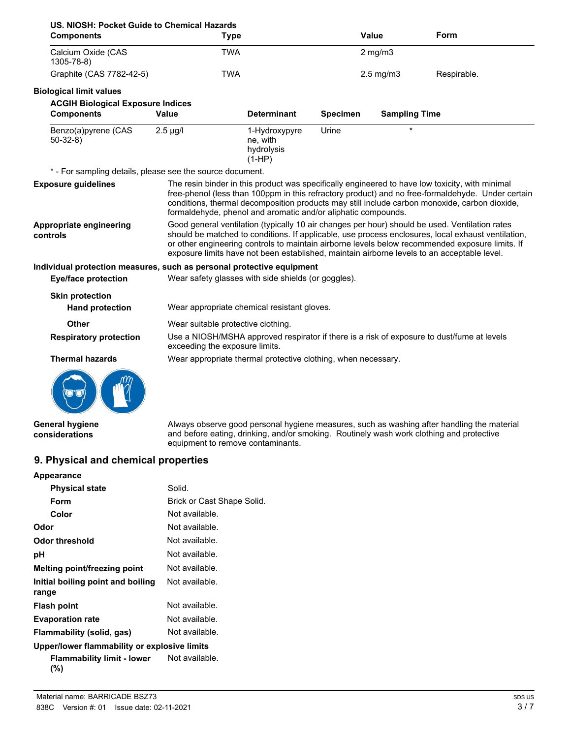| US. NIOSH: Pocket Guide to Chemical Hazards<br><b>Components</b>      | <b>Type</b>                                                   |                                                     |                 | <b>Value</b>         | Form                                                                                                                                                                                                                                                                                                                                                                                                   |
|-----------------------------------------------------------------------|---------------------------------------------------------------|-----------------------------------------------------|-----------------|----------------------|--------------------------------------------------------------------------------------------------------------------------------------------------------------------------------------------------------------------------------------------------------------------------------------------------------------------------------------------------------------------------------------------------------|
| Calcium Oxide (CAS<br>$1305 - 78 - 8$                                 | <b>TWA</b>                                                    |                                                     |                 | $2$ mg/m $3$         |                                                                                                                                                                                                                                                                                                                                                                                                        |
| Graphite (CAS 7782-42-5)                                              | <b>TWA</b>                                                    |                                                     |                 | $2.5$ mg/m $3$       | Respirable.                                                                                                                                                                                                                                                                                                                                                                                            |
| <b>Biological limit values</b>                                        |                                                               |                                                     |                 |                      |                                                                                                                                                                                                                                                                                                                                                                                                        |
| <b>ACGIH Biological Exposure Indices</b>                              |                                                               |                                                     |                 |                      |                                                                                                                                                                                                                                                                                                                                                                                                        |
| <b>Components</b>                                                     | <b>Value</b>                                                  | <b>Determinant</b>                                  | <b>Specimen</b> | <b>Sampling Time</b> |                                                                                                                                                                                                                                                                                                                                                                                                        |
| Benzo(a)pyrene (CAS<br>$50-32-8$                                      | $2.5 \mu g/l$                                                 | 1-Hydroxypyre<br>ne, with<br>hydrolysis<br>$(1-HP)$ | Urine           | $\star$              |                                                                                                                                                                                                                                                                                                                                                                                                        |
| * - For sampling details, please see the source document.             |                                                               |                                                     |                 |                      |                                                                                                                                                                                                                                                                                                                                                                                                        |
| <b>Exposure quidelines</b>                                            | formaldehyde, phenol and aromatic and/or aliphatic compounds. |                                                     |                 |                      | The resin binder in this product was specifically engineered to have low toxicity, with minimal<br>free-phenol (less than 100ppm in this refractory product) and no free-formaldehyde. Under certain<br>conditions, thermal decomposition products may still include carbon monoxide, carbon dioxide,                                                                                                  |
| Appropriate engineering<br>controls                                   |                                                               |                                                     |                 |                      | Good general ventilation (typically 10 air changes per hour) should be used. Ventilation rates<br>should be matched to conditions. If applicable, use process enclosures, local exhaust ventilation,<br>or other engineering controls to maintain airborne levels below recommended exposure limits. If<br>exposure limits have not been established, maintain airborne levels to an acceptable level. |
| Individual protection measures, such as personal protective equipment |                                                               |                                                     |                 |                      |                                                                                                                                                                                                                                                                                                                                                                                                        |
| <b>Eye/face protection</b>                                            | Wear safety glasses with side shields (or goggles).           |                                                     |                 |                      |                                                                                                                                                                                                                                                                                                                                                                                                        |
| <b>Skin protection</b><br><b>Hand protection</b>                      | Wear appropriate chemical resistant gloves.                   |                                                     |                 |                      |                                                                                                                                                                                                                                                                                                                                                                                                        |
| <b>Other</b>                                                          | Wear suitable protective clothing.                            |                                                     |                 |                      |                                                                                                                                                                                                                                                                                                                                                                                                        |
| <b>Respiratory protection</b>                                         | exceeding the exposure limits.                                |                                                     |                 |                      | Use a NIOSH/MSHA approved respirator if there is a risk of exposure to dust/fume at levels                                                                                                                                                                                                                                                                                                             |
| <b>Thermal hazards</b>                                                | Wear appropriate thermal protective clothing, when necessary. |                                                     |                 |                      |                                                                                                                                                                                                                                                                                                                                                                                                        |
|                                                                       |                                                               |                                                     |                 |                      |                                                                                                                                                                                                                                                                                                                                                                                                        |

**General hygiene considerations**

Always observe good personal hygiene measures, such as washing after handling the material and before eating, drinking, and/or smoking. Routinely wash work clothing and protective equipment to remove contaminants.

## **9. Physical and chemical properties**

| Appearance                                   |                            |
|----------------------------------------------|----------------------------|
| <b>Physical state</b>                        | Solid.                     |
| Form                                         | Brick or Cast Shape Solid. |
| Color                                        | Not available.             |
| Odor                                         | Not available.             |
| Odor threshold                               | Not available.             |
| рH                                           | Not available.             |
| Melting point/freezing point                 | Not available.             |
| Initial boiling point and boiling<br>range   | Not available.             |
| <b>Flash point</b>                           | Not available.             |
| <b>Evaporation rate</b>                      | Not available.             |
| Flammability (solid, gas)                    | Not available.             |
| Upper/lower flammability or explosive limits |                            |
| <b>Flammability limit - lower</b>            | Not available.             |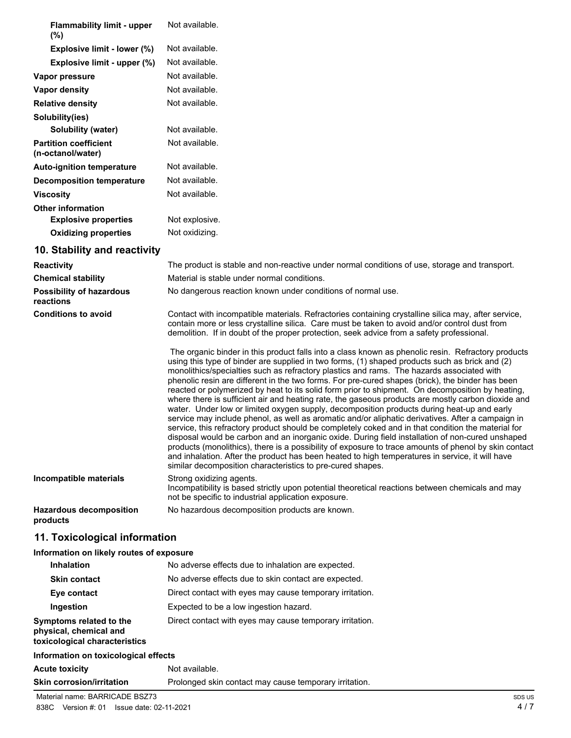| <b>Flammability limit - upper</b><br>$(\%)$       | Not available. |
|---------------------------------------------------|----------------|
| Explosive limit - lower (%)                       | Not available. |
| Explosive limit - upper (%)                       | Not available. |
| Vapor pressure                                    | Not available. |
| Vapor density                                     | Not available. |
| <b>Relative density</b>                           | Not available. |
| Solubility(ies)                                   |                |
| Solubility (water)                                | Not available. |
| <b>Partition coefficient</b><br>(n-octanol/water) | Not available. |
| <b>Auto-ignition temperature</b>                  | Not available. |
| <b>Decomposition temperature</b>                  | Not available. |
| <b>Viscosity</b>                                  | Not available. |
| <b>Other information</b>                          |                |
| <b>Explosive properties</b>                       | Not explosive. |
| <b>Oxidizing properties</b>                       | Not oxidizing. |
| 10. Stability and reactivity                      |                |

| <b>Reactivity</b>                            | The product is stable and non-reactive under normal conditions of use, storage and transport.                                                                                                                                                                                                                                                                                                                                                                                                                                                                                                                                                                                                                                                                                                                                                                                                                                                                                                                                                                                                                                                                                                                                                                                                          |
|----------------------------------------------|--------------------------------------------------------------------------------------------------------------------------------------------------------------------------------------------------------------------------------------------------------------------------------------------------------------------------------------------------------------------------------------------------------------------------------------------------------------------------------------------------------------------------------------------------------------------------------------------------------------------------------------------------------------------------------------------------------------------------------------------------------------------------------------------------------------------------------------------------------------------------------------------------------------------------------------------------------------------------------------------------------------------------------------------------------------------------------------------------------------------------------------------------------------------------------------------------------------------------------------------------------------------------------------------------------|
| <b>Chemical stability</b>                    | Material is stable under normal conditions.                                                                                                                                                                                                                                                                                                                                                                                                                                                                                                                                                                                                                                                                                                                                                                                                                                                                                                                                                                                                                                                                                                                                                                                                                                                            |
| <b>Possibility of hazardous</b><br>reactions | No dangerous reaction known under conditions of normal use.                                                                                                                                                                                                                                                                                                                                                                                                                                                                                                                                                                                                                                                                                                                                                                                                                                                                                                                                                                                                                                                                                                                                                                                                                                            |
| <b>Conditions to avoid</b>                   | Contact with incompatible materials. Refractories containing crystalline silica may, after service,<br>contain more or less crystalline silica. Care must be taken to avoid and/or control dust from<br>demolition. If in doubt of the proper protection, seek advice from a safety professional.                                                                                                                                                                                                                                                                                                                                                                                                                                                                                                                                                                                                                                                                                                                                                                                                                                                                                                                                                                                                      |
|                                              | The organic binder in this product falls into a class known as phenolic resin. Refractory products<br>using this type of binder are supplied in two forms, (1) shaped products such as brick and (2)<br>monolithics/specialties such as refractory plastics and rams. The hazards associated with<br>phenolic resin are different in the two forms. For pre-cured shapes (brick), the binder has been<br>reacted or polymerized by heat to its solid form prior to shipment. On decomposition by heating,<br>where there is sufficient air and heating rate, the gaseous products are mostly carbon dioxide and<br>water. Under low or limited oxygen supply, decomposition products during heat-up and early<br>service may include phenol, as well as aromatic and/or aliphatic derivatives. After a campaign in<br>service, this refractory product should be completely coked and in that condition the material for<br>disposal would be carbon and an inorganic oxide. During field installation of non-cured unshaped<br>products (monolithics), there is a possibility of exposure to trace amounts of phenol by skin contact<br>and inhalation. After the product has been heated to high temperatures in service, it will have<br>similar decomposition characteristics to pre-cured shapes. |
| Incompatible materials                       | Strong oxidizing agents.<br>Incompatibility is based strictly upon potential theoretical reactions between chemicals and may<br>not be specific to industrial application exposure.                                                                                                                                                                                                                                                                                                                                                                                                                                                                                                                                                                                                                                                                                                                                                                                                                                                                                                                                                                                                                                                                                                                    |
| <b>Hazardous decomposition</b><br>products   | No hazardous decomposition products are known.                                                                                                                                                                                                                                                                                                                                                                                                                                                                                                                                                                                                                                                                                                                                                                                                                                                                                                                                                                                                                                                                                                                                                                                                                                                         |

# **11. Toxicological information**

## **Information on likely routes of exposure**

| <b>Inhalation</b>                                                                  | No adverse effects due to inhalation are expected.       |
|------------------------------------------------------------------------------------|----------------------------------------------------------|
| <b>Skin contact</b>                                                                | No adverse effects due to skin contact are expected.     |
| Eye contact                                                                        | Direct contact with eyes may cause temporary irritation. |
| Ingestion                                                                          | Expected to be a low ingestion hazard.                   |
| Symptoms related to the<br>physical, chemical and<br>toxicological characteristics | Direct contact with eyes may cause temporary irritation. |
| Information on toxicological effects                                               |                                                          |
| <b>Acute toxicity</b>                                                              | Not available.                                           |

**Skin corrosion/irritation** Prolonged skin contact may cause temporary irritation.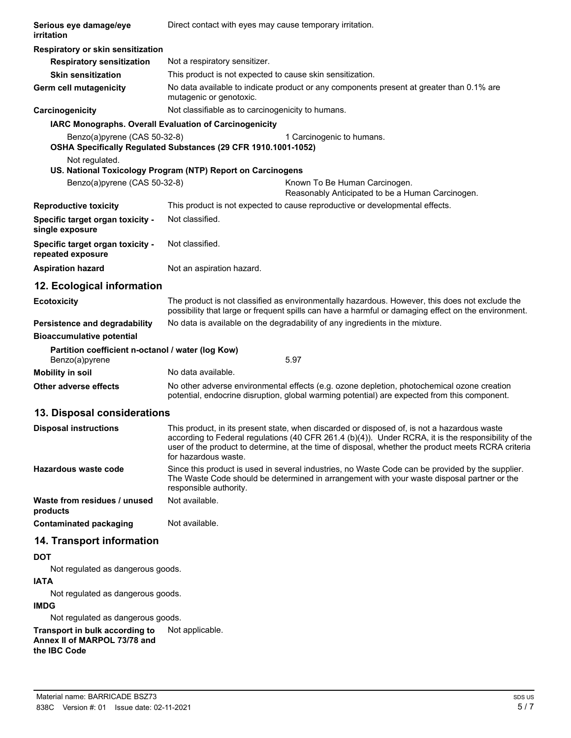| Serious eye damage/eye<br>irritation                                | Direct contact with eyes may cause temporary irritation.                                                                                                                                                                                                                                                                         |
|---------------------------------------------------------------------|----------------------------------------------------------------------------------------------------------------------------------------------------------------------------------------------------------------------------------------------------------------------------------------------------------------------------------|
| Respiratory or skin sensitization                                   |                                                                                                                                                                                                                                                                                                                                  |
| <b>Respiratory sensitization</b>                                    | Not a respiratory sensitizer.                                                                                                                                                                                                                                                                                                    |
| <b>Skin sensitization</b>                                           | This product is not expected to cause skin sensitization.                                                                                                                                                                                                                                                                        |
| <b>Germ cell mutagenicity</b>                                       | No data available to indicate product or any components present at greater than 0.1% are<br>mutagenic or genotoxic.                                                                                                                                                                                                              |
| Carcinogenicity                                                     | Not classifiable as to carcinogenicity to humans.                                                                                                                                                                                                                                                                                |
| IARC Monographs. Overall Evaluation of Carcinogenicity              |                                                                                                                                                                                                                                                                                                                                  |
| Benzo(a)pyrene (CAS 50-32-8)                                        | 1 Carcinogenic to humans.<br>OSHA Specifically Regulated Substances (29 CFR 1910.1001-1052)                                                                                                                                                                                                                                      |
| Not regulated.                                                      | US. National Toxicology Program (NTP) Report on Carcinogens                                                                                                                                                                                                                                                                      |
| Benzo(a)pyrene (CAS 50-32-8)                                        | Known To Be Human Carcinogen.<br>Reasonably Anticipated to be a Human Carcinogen.                                                                                                                                                                                                                                                |
| <b>Reproductive toxicity</b>                                        | This product is not expected to cause reproductive or developmental effects.                                                                                                                                                                                                                                                     |
| Specific target organ toxicity -<br>single exposure                 | Not classified.                                                                                                                                                                                                                                                                                                                  |
| Specific target organ toxicity -<br>repeated exposure               | Not classified.                                                                                                                                                                                                                                                                                                                  |
| <b>Aspiration hazard</b>                                            | Not an aspiration hazard.                                                                                                                                                                                                                                                                                                        |
| 12. Ecological information                                          |                                                                                                                                                                                                                                                                                                                                  |
| <b>Ecotoxicity</b>                                                  | The product is not classified as environmentally hazardous. However, this does not exclude the<br>possibility that large or frequent spills can have a harmful or damaging effect on the environment.                                                                                                                            |
| Persistence and degradability                                       | No data is available on the degradability of any ingredients in the mixture.                                                                                                                                                                                                                                                     |
| <b>Bioaccumulative potential</b>                                    |                                                                                                                                                                                                                                                                                                                                  |
| Partition coefficient n-octanol / water (log Kow)<br>Benzo(a)pyrene | 5.97                                                                                                                                                                                                                                                                                                                             |
| <b>Mobility in soil</b>                                             | No data available.                                                                                                                                                                                                                                                                                                               |
| Other adverse effects                                               | No other adverse environmental effects (e.g. ozone depletion, photochemical ozone creation<br>potential, endocrine disruption, global warming potential) are expected from this component.                                                                                                                                       |
| 13. Disposal considerations                                         |                                                                                                                                                                                                                                                                                                                                  |
| <b>Disposal instructions</b>                                        | This product, in its present state, when discarded or disposed of, is not a hazardous waste<br>according to Federal regulations (40 CFR 261.4 (b)(4)). Under RCRA, it is the responsibility of the<br>user of the product to determine, at the time of disposal, whether the product meets RCRA criteria<br>for hazardous waste. |
| Hazardous waste code                                                | Since this product is used in several industries, no Waste Code can be provided by the supplier.<br>The Waste Code should be determined in arrangement with your waste disposal partner or the<br>responsible authority.                                                                                                         |
| Waste from residues / unused<br>products                            | Not available.                                                                                                                                                                                                                                                                                                                   |
| <b>Contaminated packaging</b>                                       | Not available.                                                                                                                                                                                                                                                                                                                   |
| 14. Transport information                                           |                                                                                                                                                                                                                                                                                                                                  |
| <b>DOT</b>                                                          |                                                                                                                                                                                                                                                                                                                                  |
| Not regulated as dangerous goods.                                   |                                                                                                                                                                                                                                                                                                                                  |
| <b>IATA</b>                                                         |                                                                                                                                                                                                                                                                                                                                  |
| Not regulated as dangerous goods.<br><b>IMDG</b>                    |                                                                                                                                                                                                                                                                                                                                  |
| Not regulated as dangerous goods.                                   |                                                                                                                                                                                                                                                                                                                                  |
| Transport in bulk according to                                      | Not applicable.                                                                                                                                                                                                                                                                                                                  |
| Annex II of MARPOL 73/78 and<br>the IBC Code                        |                                                                                                                                                                                                                                                                                                                                  |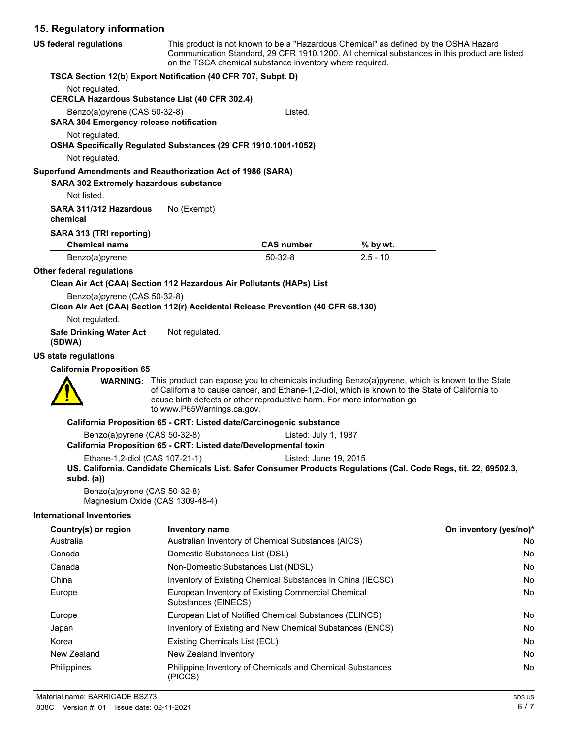# **15. Regulatory information**

| <b>US federal regulations</b>                                                                                    | This product is not known to be a "Hazardous Chemical" as defined by the OSHA Hazard<br>Communication Standard, 29 CFR 1910.1200. All chemical substances in this product are listed<br>on the TSCA chemical substance inventory where required. |                      |                                                                                                                                                                                                                    |                        |
|------------------------------------------------------------------------------------------------------------------|--------------------------------------------------------------------------------------------------------------------------------------------------------------------------------------------------------------------------------------------------|----------------------|--------------------------------------------------------------------------------------------------------------------------------------------------------------------------------------------------------------------|------------------------|
| TSCA Section 12(b) Export Notification (40 CFR 707, Subpt. D)                                                    |                                                                                                                                                                                                                                                  |                      |                                                                                                                                                                                                                    |                        |
| Not regulated.                                                                                                   |                                                                                                                                                                                                                                                  |                      |                                                                                                                                                                                                                    |                        |
| <b>CERCLA Hazardous Substance List (40 CFR 302.4)</b>                                                            |                                                                                                                                                                                                                                                  |                      |                                                                                                                                                                                                                    |                        |
| Benzo(a)pyrene (CAS 50-32-8)<br><b>SARA 304 Emergency release notification</b>                                   |                                                                                                                                                                                                                                                  | Listed.              |                                                                                                                                                                                                                    |                        |
| Not regulated.<br>OSHA Specifically Regulated Substances (29 CFR 1910.1001-1052)<br>Not regulated.               |                                                                                                                                                                                                                                                  |                      |                                                                                                                                                                                                                    |                        |
| Superfund Amendments and Reauthorization Act of 1986 (SARA)                                                      |                                                                                                                                                                                                                                                  |                      |                                                                                                                                                                                                                    |                        |
| SARA 302 Extremely hazardous substance                                                                           |                                                                                                                                                                                                                                                  |                      |                                                                                                                                                                                                                    |                        |
| Not listed.                                                                                                      |                                                                                                                                                                                                                                                  |                      |                                                                                                                                                                                                                    |                        |
| SARA 311/312 Hazardous<br>chemical                                                                               | No (Exempt)                                                                                                                                                                                                                                      |                      |                                                                                                                                                                                                                    |                        |
| SARA 313 (TRI reporting)                                                                                         |                                                                                                                                                                                                                                                  |                      |                                                                                                                                                                                                                    |                        |
| <b>Chemical name</b>                                                                                             |                                                                                                                                                                                                                                                  | <b>CAS number</b>    | % by wt.                                                                                                                                                                                                           |                        |
| Benzo(a)pyrene                                                                                                   |                                                                                                                                                                                                                                                  | $50-32-8$            | $2.5 - 10$                                                                                                                                                                                                         |                        |
| Other federal regulations                                                                                        |                                                                                                                                                                                                                                                  |                      |                                                                                                                                                                                                                    |                        |
| Clean Air Act (CAA) Section 112 Hazardous Air Pollutants (HAPs) List                                             |                                                                                                                                                                                                                                                  |                      |                                                                                                                                                                                                                    |                        |
| Benzo(a)pyrene (CAS 50-32-8)<br>Clean Air Act (CAA) Section 112(r) Accidental Release Prevention (40 CFR 68.130) |                                                                                                                                                                                                                                                  |                      |                                                                                                                                                                                                                    |                        |
| Not regulated.                                                                                                   |                                                                                                                                                                                                                                                  |                      |                                                                                                                                                                                                                    |                        |
| <b>Safe Drinking Water Act</b><br>(SDWA)                                                                         | Not regulated.                                                                                                                                                                                                                                   |                      |                                                                                                                                                                                                                    |                        |
| US state regulations                                                                                             |                                                                                                                                                                                                                                                  |                      |                                                                                                                                                                                                                    |                        |
| <b>California Proposition 65</b>                                                                                 |                                                                                                                                                                                                                                                  |                      |                                                                                                                                                                                                                    |                        |
|                                                                                                                  | cause birth defects or other reproductive harm. For more information go<br>to www.P65Warnings.ca.gov.                                                                                                                                            |                      | <b>WARNING:</b> This product can expose you to chemicals including Benzo(a)pyrene, which is known to the State<br>of California to cause cancer, and Ethane-1,2-diol, which is known to the State of California to |                        |
|                                                                                                                  | California Proposition 65 - CRT: Listed date/Carcinogenic substance                                                                                                                                                                              |                      |                                                                                                                                                                                                                    |                        |
| Benzo(a)pyrene (CAS 50-32-8)                                                                                     |                                                                                                                                                                                                                                                  | Listed: July 1, 1987 |                                                                                                                                                                                                                    |                        |
|                                                                                                                  | California Proposition 65 - CRT: Listed date/Developmental toxin                                                                                                                                                                                 |                      |                                                                                                                                                                                                                    |                        |
|                                                                                                                  | Ethane-1,2-diol (CAS 107-21-1) Listed: June 19, 2015                                                                                                                                                                                             |                      |                                                                                                                                                                                                                    |                        |
| subd. $(a)$                                                                                                      |                                                                                                                                                                                                                                                  |                      | US. California. Candidate Chemicals List. Safer Consumer Products Regulations (Cal. Code Regs, tit. 22, 69502.3,                                                                                                   |                        |
| Benzo(a)pyrene (CAS 50-32-8)<br>Magnesium Oxide (CAS 1309-48-4)                                                  |                                                                                                                                                                                                                                                  |                      |                                                                                                                                                                                                                    |                        |
| <b>International Inventories</b>                                                                                 |                                                                                                                                                                                                                                                  |                      |                                                                                                                                                                                                                    |                        |
| Country(s) or region                                                                                             | Inventory name                                                                                                                                                                                                                                   |                      |                                                                                                                                                                                                                    | On inventory (yes/no)* |
| Australia                                                                                                        | Australian Inventory of Chemical Substances (AICS)                                                                                                                                                                                               |                      |                                                                                                                                                                                                                    | No                     |
| Canada                                                                                                           | Domestic Substances List (DSL)                                                                                                                                                                                                                   |                      |                                                                                                                                                                                                                    | No                     |
| Canada                                                                                                           | Non-Domestic Substances List (NDSL)                                                                                                                                                                                                              |                      |                                                                                                                                                                                                                    | No                     |
| China                                                                                                            | Inventory of Existing Chemical Substances in China (IECSC)                                                                                                                                                                                       |                      |                                                                                                                                                                                                                    | No                     |
| Europe                                                                                                           | European Inventory of Existing Commercial Chemical<br>Substances (EINECS)                                                                                                                                                                        |                      |                                                                                                                                                                                                                    | No                     |
| Europe                                                                                                           | European List of Notified Chemical Substances (ELINCS)                                                                                                                                                                                           |                      |                                                                                                                                                                                                                    | No                     |
| Japan                                                                                                            | Inventory of Existing and New Chemical Substances (ENCS)                                                                                                                                                                                         |                      |                                                                                                                                                                                                                    | No                     |
| Korea                                                                                                            | Existing Chemicals List (ECL)                                                                                                                                                                                                                    |                      |                                                                                                                                                                                                                    | No                     |
| New Zealand                                                                                                      | New Zealand Inventory                                                                                                                                                                                                                            |                      |                                                                                                                                                                                                                    | No                     |
| Philippines                                                                                                      | Philippine Inventory of Chemicals and Chemical Substances<br>(PICCS)                                                                                                                                                                             |                      |                                                                                                                                                                                                                    | No                     |